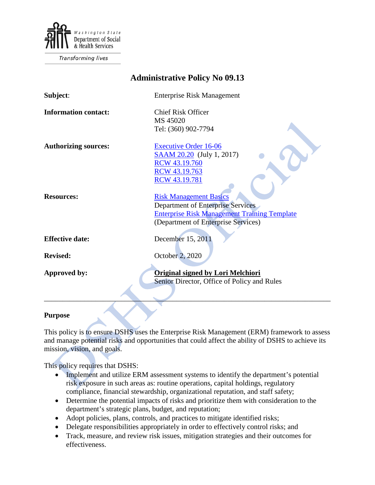

**Transforming lives** 

| <b>Administrative Policy No 09.13</b> |                                                     |
|---------------------------------------|-----------------------------------------------------|
| Subject:                              | <b>Enterprise Risk Management</b>                   |
| <b>Information contact:</b>           | <b>Chief Risk Officer</b>                           |
|                                       | MS 45020                                            |
|                                       | Tel: (360) 902-7794                                 |
| <b>Authorizing sources:</b>           | <b>Executive Order 16-06</b>                        |
|                                       | <b>SAAM 20.20</b> (July 1, 2017)                    |
|                                       | RCW 43.19.760                                       |
|                                       | RCW 43.19.763                                       |
|                                       | <b>RCW 43.19.781</b>                                |
|                                       |                                                     |
| <b>Resources:</b>                     | <b>Risk Management Basics</b>                       |
|                                       | <b>Department of Enterprise Services</b>            |
|                                       | <b>Enterprise Risk Management Training Template</b> |
|                                       | (Department of Enterprise Services)                 |
|                                       |                                                     |
| <b>Effective date:</b>                | December 15, 2011                                   |
|                                       |                                                     |
| <b>Revised:</b>                       | October 2, 2020                                     |
| <b>Approved by:</b>                   | <b>Original signed by Lori Melchiori</b>            |
|                                       | Senior Director, Office of Policy and Rules         |
|                                       |                                                     |
|                                       |                                                     |
|                                       |                                                     |

## **Purpose**

This policy is to ensure DSHS uses the Enterprise Risk Management (ERM) framework to assess and manage potential risks and opportunities that could affect the ability of DSHS to achieve its mission, vision, and goals.

This policy requires that DSHS:

- Implement and utilize ERM assessment systems to identify the department's potential risk exposure in such areas as: routine operations, capital holdings, regulatory compliance, financial stewardship, organizational reputation, and staff safety;
- Determine the potential impacts of risks and prioritize them with consideration to the department's strategic plans, budget, and reputation;
- Adopt policies, plans, controls, and practices to mitigate identified risks;
- Delegate responsibilities appropriately in order to effectively control risks; and
- Track, measure, and review risk issues, mitigation strategies and their outcomes for effectiveness.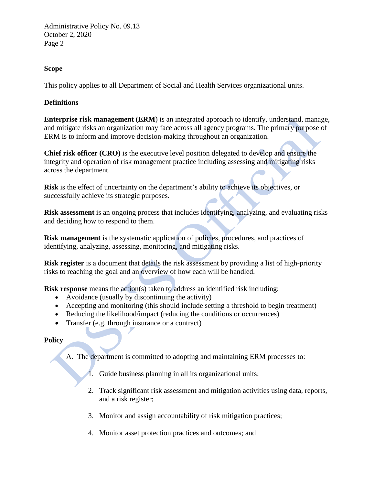Administrative Policy No. 09.13 October 2, 2020 Page 2

## **Scope**

This policy applies to all Department of Social and Health Services organizational units.

## **Definitions**

**Enterprise risk management (ERM**) is an integrated approach to identify, understand, manage, and mitigate risks an organization may face across all agency programs. The primary purpose of ERM is to inform and improve decision-making throughout an organization.

**Chief risk officer (CRO)** is the executive level position delegated to develop and ensure the integrity and operation of risk management practice including assessing and mitigating risks across the department.

**Risk** is the effect of uncertainty on the department's ability to achieve its objectives, or successfully achieve its strategic purposes.

**Risk assessment** is an ongoing process that includes identifying, analyzing, and evaluating risks and deciding how to respond to them.

**Risk management** is the systematic application of policies, procedures, and practices of identifying, analyzing, assessing, monitoring, and mitigating risks.

**Risk register** is a document that details the risk assessment by providing a list of high-priority risks to reaching the goal and an overview of how each will be handled.

**Risk response** means the action(s) taken to address an identified risk including:

- Avoidance (usually by discontinuing the activity)
- Accepting and monitoring (this should include setting a threshold to begin treatment)
- Reducing the likelihood/impact (reducing the conditions or occurrences)
- Transfer (e.g. through insurance or a contract)

## **Policy**

- A. The department is committed to adopting and maintaining ERM processes to:
	- 1. Guide business planning in all its organizational units;
	- 2. Track significant risk assessment and mitigation activities using data, reports, and a risk register;
	- 3. Monitor and assign accountability of risk mitigation practices;
	- 4. Monitor asset protection practices and outcomes; and